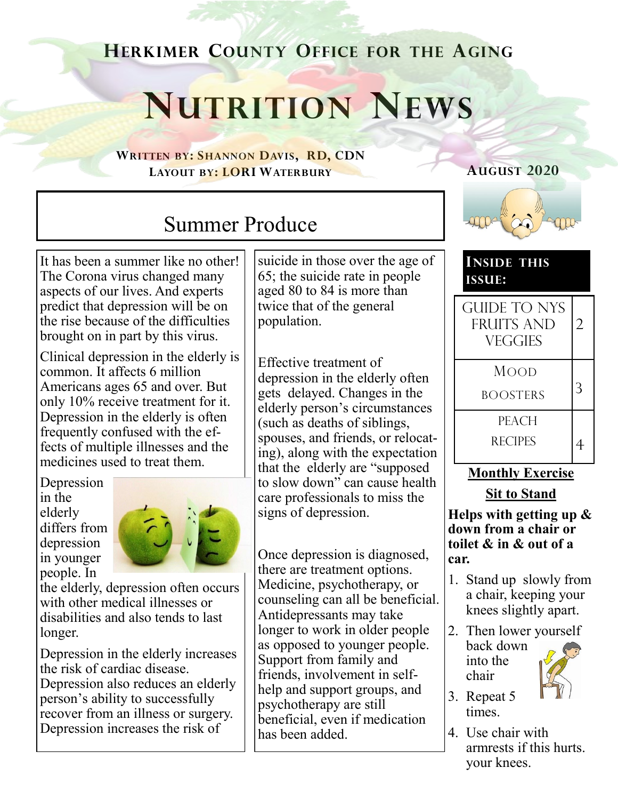## **HERKIMER COUNTY OFFICE FOR THE AGING**

# **NUTRITION NEWS**

**WRITTEN BY: SHANNON DAVIS, RD, CDN LAYOUT BY: LORI WATERBURY**

# Summer Produce

It has been a summer like no other! The Corona virus changed many aspects of our lives. And experts predict that depression will be on the rise because of the difficulties brought on in part by this virus.

Clinical depression in the elderly is common. It affects 6 million Americans ages 65 and over. But only 10% receive treatment for it. Depression in the elderly is often frequently confused with the effects of multiple illnesses and the medicines used to treat them.

Depression in the elderly differs from depression in younger people. In



the elderly, depression often occurs with other medical illnesses or disabilities and also tends to last longer.

Depression in the elderly increases the risk of cardiac disease. Depression also reduces an elderly person's ability to successfully recover from an illness or surgery. Depression increases the risk of

suicide in those over the age of 65; the suicide rate in people aged 80 to 84 is more than twice that of the general population.

Effective treatment of depression in the elderly often gets delayed. Changes in the elderly person's circumstances (such as deaths of siblings, spouses, and friends, or relocating), along with the expectation that the elderly are "supposed to slow down" can cause health care professionals to miss the signs of depression.

Once depression is diagnosed, there are treatment options. Medicine, psychotherapy, or counseling can all be beneficial. Antidepressants may take longer to work in older people as opposed to younger people. Support from family and friends, involvement in selfhelp and support groups, and psychotherapy are still beneficial, even if medication has been added.



**AUGUST 2020**

#### **INSIDE THIS ISSUE:**

| <b>GUIDE TO NYS</b><br><b>FRUITS AND</b><br><b>VEGGIES</b> | $\overline{2}$ |
|------------------------------------------------------------|----------------|
| Mood<br><b>BOOSTERS</b>                                    |                |
| PEACH<br><b>RECIPES</b>                                    |                |

#### **Monthly Exercise**

**Sit to Stand**

**Helps with getting up & down from a chair or toilet & in & out of a car.**

- 1. Stand up slowly from a chair, keeping your knees slightly apart.
- 2. Then lower yourself back down into the chair



4. Use chair with armrests if this hurts. your knees.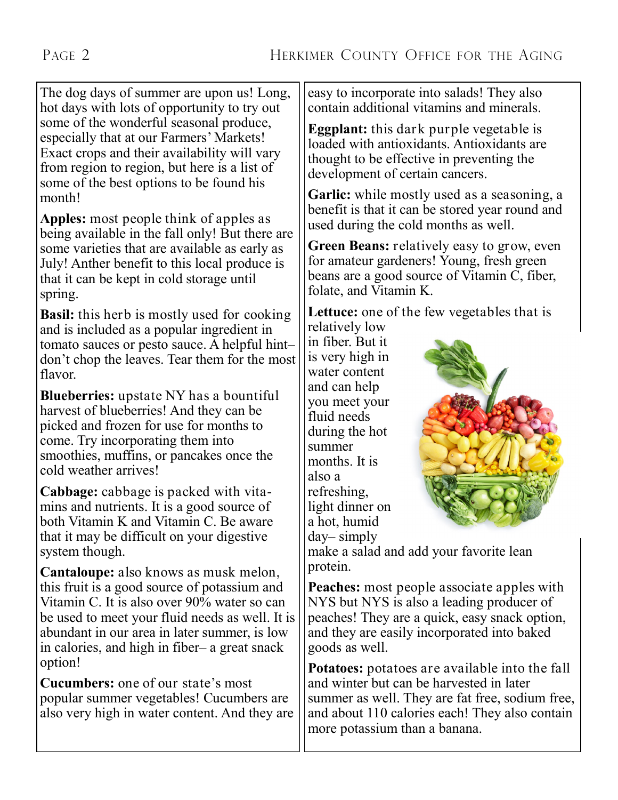The dog days of summer are upon us! Long, hot days with lots of opportunity to try out some of the wonderful seasonal produce, especially that at our Farmers' Markets! Exact crops and their availability will vary from region to region, but here is a list of some of the best options to be found his month!

**Apples:** most people think of apples as being available in the fall only! But there are some varieties that are available as early as July! Anther benefit to this local produce is that it can be kept in cold storage until spring.

**Basil:** this herb is mostly used for cooking and is included as a popular ingredient in tomato sauces or pesto sauce. A helpful hint– don't chop the leaves. Tear them for the most flavor.

**Blueberries:** upstate NY has a bountiful harvest of blueberries! And they can be picked and frozen for use for months to come. Try incorporating them into smoothies, muffins, or pancakes once the cold weather arrives!

**Cabbage:** cabbage is packed with vitamins and nutrients. It is a good source of both Vitamin K and Vitamin C. Be aware that it may be difficult on your digestive system though.

**Cantaloupe:** also knows as musk melon, this fruit is a good source of potassium and Vitamin C. It is also over 90% water so can be used to meet your fluid needs as well. It is abundant in our area in later summer, is low in calories, and high in fiber– a great snack option!

**Cucumbers:** one of our state's most popular summer vegetables! Cucumbers are also very high in water content. And they are easy to incorporate into salads! They also contain additional vitamins and minerals.

**Eggplant:** this dark purple vegetable is loaded with antioxidants. Antioxidants are thought to be effective in preventing the development of certain cancers.

**Garlic:** while mostly used as a seasoning, a benefit is that it can be stored year round and used during the cold months as well.

**Green Beans:** relatively easy to grow, even for amateur gardeners! Young, fresh green beans are a good source of Vitamin C, fiber, folate, and Vitamin K.

**Lettuce:** one of the few vegetables that is relatively low

in fiber. But it is very high in water content and can help you meet your fluid needs during the hot summer months. It is also a refreshing, light dinner on a hot, humid day– simply



make a salad and add your favorite lean protein.

**Peaches:** most people associate apples with NYS but NYS is also a leading producer of peaches! They are a quick, easy snack option, and they are easily incorporated into baked goods as well.

**Potatoes:** potatoes are available into the fall and winter but can be harvested in later summer as well. They are fat free, sodium free, and about 110 calories each! They also contain more potassium than a banana.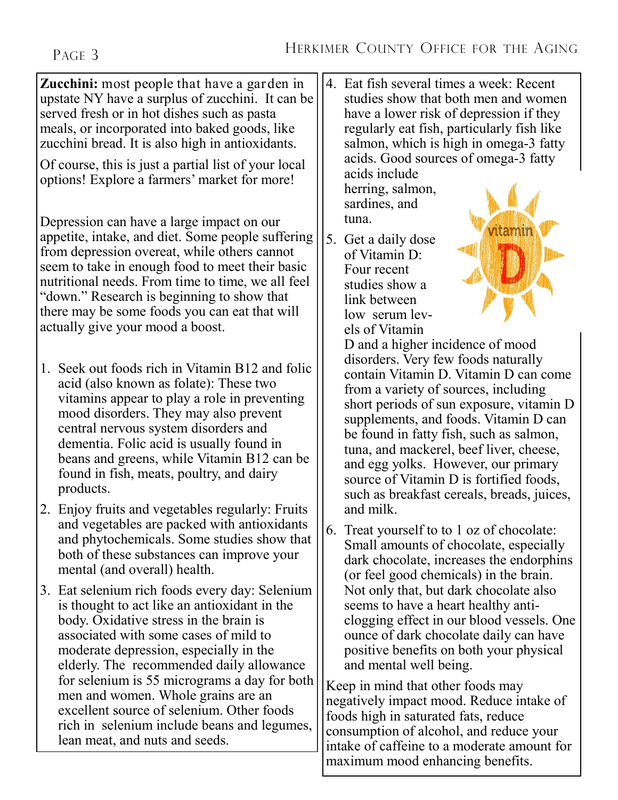**Zucchini:** most people that have a garden in upstate NY have a surplus of zucchini. It can be served fresh or in hot dishes such as pasta meals, or incorporated into baked goods, like zucchini bread. It is also high in antioxidants.

Of course, this is just a partial list of your local options! Explore a farmers' market for more!

Depression can have a large impact on our appetite, intake, and diet. Some people suffering from depression overeat, while others cannot seem to take in enough food to meet their basic nutritional needs. From time to time, we all feel "down." Research is beginning to show that there may be some foods you can eat that will actually give your mood a boost.

- 1. Seek out foods rich in Vitamin B12 and folic acid (also known as folate): These two vitamins appear to play a role in preventing mood disorders. They may also prevent central nervous system disorders and dementia. Folic acid is usually found in beans and greens, while Vitamin B12 can be found in fish, meats, poultry, and dairy products.
- 2. Enjoy fruits and vegetables regularly: Fruits and vegetables are packed with antioxidants and phytochemicals. Some studies show that both of these substances can improve your mental (and overall) health.
- 3. Eat selenium rich foods every day: Selenium is thought to act like an antioxidant in the body. Oxidative stress in the brain is associated with some cases of mild to moderate depression, especially in the elderly. The recommended daily allowance for selenium is 55 micrograms a day for both men and women. Whole grains are an excellent source of selenium. Other foods rich in selenium include beans and legumes, lean meat, and nuts and seeds.

4. Eat fish several times a week: Recent studies show that both men and women have a lower risk of depression if they regularly eat fish, particularly fish like salmon, which is high in omega-3 fatty acids. Good sources of omega-3 fatty

acids include herring, salmon, sardines, and tuna.

5. Get a daily dose of Vitamin D: Four recent studies show a link between low serum levels of Vitamin



D and a higher incidence of mood disorders. Very few foods naturally contain Vitamin D. Vitamin D can come from a variety of sources, including short periods of sun exposure, vitamin D supplements, and foods. Vitamin D can be found in fatty fish, such as salmon, tuna, and mackerel, beef liver, cheese, and egg yolks. However, our primary source of Vitamin D is fortified foods, such as breakfast cereals, breads, juices, and milk.

6. Treat yourself to to 1 oz of chocolate: Small amounts of chocolate, especially dark chocolate, increases the endorphins (or feel good chemicals) in the brain. Not only that, but dark chocolate also seems to have a heart healthy anticlogging effect in our blood vessels. One ounce of dark chocolate daily can have positive benefits on both your physical and mental well being.

Keep in mind that other foods may negatively impact mood. Reduce intake of foods high in saturated fats, reduce consumption of alcohol, and reduce your intake of caffeine to a moderate amount for maximum mood enhancing benefits.